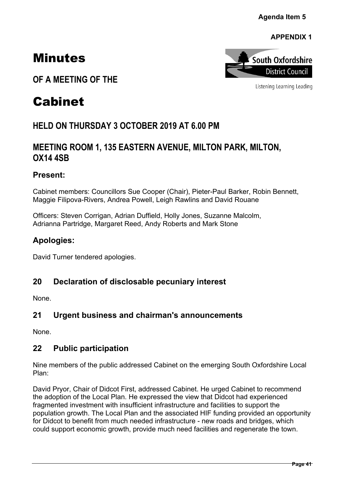**APPENDIX 1**

# Minutes

**OF A MEETING OF THE**

# Cabinet

### **HELD ON THURSDAY 3 OCTOBER 2019 AT 6.00 PM**

### **MEETING ROOM 1, 135 EASTERN AVENUE, MILTON PARK, MILTON, OX14 4SB**

#### **Present:**

Cabinet members: Councillors Sue Cooper (Chair), Pieter-Paul Barker, Robin Bennett, Maggie Filipova-Rivers, Andrea Powell, Leigh Rawlins and David Rouane

Officers: Steven Corrigan, Adrian Duffield, Holly Jones, Suzanne Malcolm, Adrianna Partridge, Margaret Reed, Andy Roberts and Mark Stone

#### **Apologies:**

David Turner tendered apologies.

#### **20 Declaration of disclosable pecuniary interest**

None.

#### **21 Urgent business and chairman's announcements**

None.

#### **22 Public participation**

Nine members of the public addressed Cabinet on the emerging South Oxfordshire Local Plan:

David Pryor, Chair of Didcot First, addressed Cabinet. He urged Cabinet to recommend the adoption of the Local Plan. He expressed the view that Didcot had experienced fragmented investment with insufficient infrastructure and facilities to support the population growth. The Local Plan and the associated HIF funding provided an opportunity for Didcot to benefit from much needed infrastructure - new roads and bridges, which could support economic growth, provide much need facilities and regenerate the town. Agenda Item 5<br> **APPENDIX 1**<br> **Park Oxfordshire**<br>
District Council<br>
istening Learning Leading<br>
LETON,<br>
obin Bennett,<br>
exfordshire Local<br>
or the<br>
ed an opportunity<br>
Ages, which<br>
ate the town.<br>
Page 41



Listening Learning Leading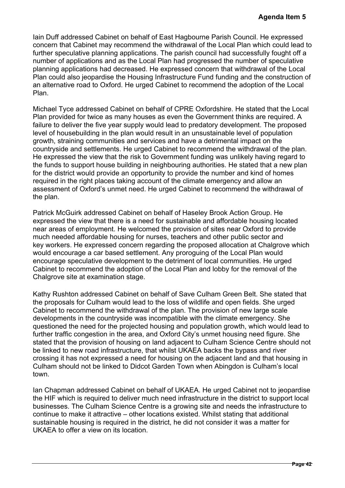Iain Duff addressed Cabinet on behalf of East Hagbourne Parish Council. He expressed concern that Cabinet may recommend the withdrawal of the Local Plan which could lead to further speculative planning applications. The parish council had successfully fought off a number of applications and as the Local Plan had progressed the number of speculative planning applications had decreased. He expressed concern that withdrawal of the Local Plan could also jeopardise the Housing Infrastructure Fund funding and the construction of an alternative road to Oxford. He urged Cabinet to recommend the adoption of the Local Plan.

Michael Tyce addressed Cabinet on behalf of CPRE Oxfordshire. He stated that the Local Plan provided for twice as many houses as even the Government thinks are required. A failure to deliver the five year supply would lead to predatory development. The proposed level of housebuilding in the plan would result in an unsustainable level of population growth, straining communities and services and have a detrimental impact on the countryside and settlements. He urged Cabinet to recommend the withdrawal of the plan. He expressed the view that the risk to Government funding was unlikely having regard to the funds to support house building in neighbouring authorities. He stated that a new plan for the district would provide an opportunity to provide the number and kind of homes required in the right places taking account of the climate emergency and allow an assessment of Oxford's unmet need. He urged Cabinet to recommend the withdrawal of the plan. Agenda Item 5<br>
He expressed<br>
hich could lead to<br>
fully fought off a<br>
of speculative<br>
wal of the Local<br>
e construction of<br>
on of the Local<br>
ed that the Local<br>
ed that the Local<br>
population<br>
to the plan.<br>
average in the plan

Patrick McGuirk addressed Cabinet on behalf of Haseley Brook Action Group. He expressed the view that there is a need for sustainable and affordable housing located near areas of employment. He welcomed the provision of sites near Oxford to provide much needed affordable housing for nurses, teachers and other public sector and key workers. He expressed concern regarding the proposed allocation at Chalgrove which would encourage a car based settlement. Any proroguing of the Local Plan would encourage speculative development to the detriment of local communities. He urged Cabinet to recommend the adoption of the Local Plan and lobby for the removal of the Chalgrove site at examination stage.

Kathy Rushton addressed Cabinet on behalf of Save Culham Green Belt. She stated that the proposals for Culham would lead to the loss of wildlife and open fields. She urged Cabinet to recommend the withdrawal of the plan. The provision of new large scale developments in the countryside was incompatible with the climate emergency. She questioned the need for the projected housing and population growth, which would lead to further traffic congestion in the area, and Oxford City's unmet housing need figure. She stated that the provision of housing on land adjacent to Culham Science Centre should not be linked to new road infrastructure, that whilst UKAEA backs the bypass and river crossing it has not expressed a need for housing on the adjacent land and that housing in Culham should not be linked to Didcot Garden Town when Abingdon is Culham's local town.

Ian Chapman addressed Cabinet on behalf of UKAEA. He urged Cabinet not to jeopardise the HIF which is required to deliver much need infrastructure in the district to support local businesses. The Culham Science Centre is a growing site and needs the infrastructure to continue to make it attractive – other locations existed. Whilst stating that additional sustainable housing is required in the district, he did not consider it was a matter for UKAEA to offer a view on its location.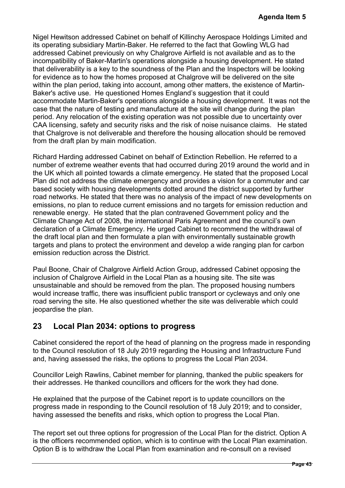Nigel Hewitson addressed Cabinet on behalf of Killinchy Aerospace Holdings Limited and its operating subsidiary Martin-Baker. He referred to the fact that Gowling WLG had addressed Cabinet previously on why Chalgrove Airfield is not available and as to the incompatibility of Baker-Martin's operations alongside a housing development. He stated that deliverability is a key to the soundness of the Plan and the Inspectors will be looking for evidence as to how the homes proposed at Chalgrove will be delivered on the site within the plan period, taking into account, among other matters, the existence of Martin-Baker's active use. He questioned Homes England's suggestion that it could accommodate Martin-Baker's operations alongside a housing development. It was not the case that the nature of testing and manufacture at the site will change during the plan period. Any relocation of the existing operation was not possible due to uncertainty over CAA licensing, safety and security risks and the risk of noise nuisance claims. He stated that Chalgrove is not deliverable and therefore the housing allocation should be removed from the draft plan by main modification. **Agenda Item 5**<br>
ngs Limited and<br>
WLG had<br>
ment. He stated<br>
s will be looking<br>
d on the site<br>
ence of Martin-<br>
and the site<br>
ence of Martin-<br>
and the site<br>
ing the plan<br>
ncertainty over<br>
ims. He stated<br>
uld be removed<br>
ref

Richard Harding addressed Cabinet on behalf of Extinction Rebellion. He referred to a number of extreme weather events that had occurred during 2019 around the world and in the UK which all pointed towards a climate emergency. He stated that the proposed Local Plan did not address the climate emergency and provides a vision for a commuter and car based society with housing developments dotted around the district supported by further road networks. He stated that there was no analysis of the impact of new developments on emissions, no plan to reduce current emissions and no targets for emission reduction and renewable energy. He stated that the plan contravened Government policy and the Climate Change Act of 2008, the international Paris Agreement and the council's own declaration of a Climate Emergency. He urged Cabinet to recommend the withdrawal of the draft local plan and then formulate a plan with environmentally sustainable growth targets and plans to protect the environment and develop a wide ranging plan for carbon emission reduction across the District.

Paul Boone, Chair of Chalgrove Airfield Action Group, addressed Cabinet opposing the inclusion of Chalgrove Airfield in the Local Plan as a housing site. The site was unsustainable and should be removed from the plan. The proposed housing numbers would increase traffic, there was insufficient public transport or cycleways and only one road serving the site. He also questioned whether the site was deliverable which could jeopardise the plan.

#### **23 Local Plan 2034: options to progress**

Cabinet considered the report of the head of planning on the progress made in responding to the Council resolution of 18 July 2019 regarding the Housing and Infrastructure Fund and, having assessed the risks, the options to progress the Local Plan 2034.

Councillor Leigh Rawlins, Cabinet member for planning, thanked the public speakers for their addresses. He thanked councillors and officers for the work they had done.

He explained that the purpose of the Cabinet report is to update councillors on the progress made in responding to the Council resolution of 18 July 2019; and to consider, having assessed the benefits and risks, which option to progress the Local Plan.

The report set out three options for progression of the Local Plan for the district. Option A is the officers recommended option, which is to continue with the Local Plan examination. Option B is to withdraw the Local Plan from examination and re-consult on a revised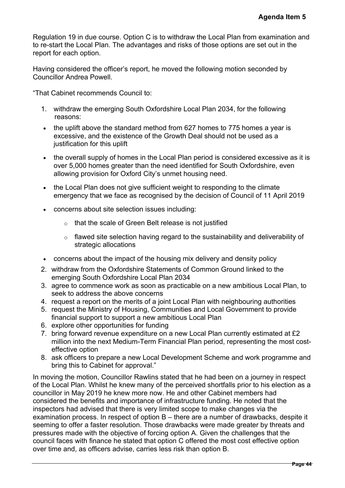Regulation 19 in due course. Option C is to withdraw the Local Plan from examination and to re-start the Local Plan. The advantages and risks of those options are set out in the report for each option.

Having considered the officer's report, he moved the following motion seconded by Councillor Andrea Powell.

"That Cabinet recommends Council to:

- 1. withdraw the emerging South Oxfordshire Local Plan 2034, for the following reasons:
- the uplift above the standard method from 627 homes to 775 homes a year is excessive, and the existence of the Growth Deal should not be used as a justification for this uplift
- the overall supply of homes in the Local Plan period is considered excessive as it is over 5,000 homes greater than the need identified for South Oxfordshire, even allowing provision for Oxford City's unmet housing need.
- the Local Plan does not give sufficient weight to responding to the climate emergency that we face as recognised by the decision of Council of 11 April 2019
- concerns about site selection issues including:
	- o that the scale of Green Belt release is not justified
	- $\circ$  flawed site selection having regard to the sustainability and deliverability of strategic allocations
- concerns about the impact of the housing mix delivery and density policy
- 2. withdraw from the Oxfordshire Statements of Common Ground linked to the emerging South Oxfordshire Local Plan 2034
- 3. agree to commence work as soon as practicable on a new ambitious Local Plan, to seek to address the above concerns
- 4. request a report on the merits of a joint Local Plan with neighbouring authorities
- 5. request the Ministry of Housing, Communities and Local Government to provide financial support to support a new ambitious Local Plan
- 6. explore other opportunities for funding
- 7. bring forward revenue expenditure on a new Local Plan currently estimated at £2 million into the next Medium-Term Financial Plan period, representing the most costeffective option
- 8. ask officers to prepare a new Local Development Scheme and work programme and bring this to Cabinet for approval."

In moving the motion, Councillor Rawlins stated that he had been on a journey in respect of the Local Plan. Whilst he knew many of the perceived shortfalls prior to his election as a councillor in May 2019 he knew more now. He and other Cabinet members had considered the benefits and importance of infrastructure funding. He noted that the inspectors had advised that there is very limited scope to make changes via the examination process. In respect of option B – there are a number of drawbacks, despite it seeming to offer a faster resolution. Those drawbacks were made greater by threats and pressures made with the objective of forcing option A. Given the challenges that the council faces with finance he stated that option C offered the most cost effective option over time and, as officers advise, carries less risk than option B. **Agenda Item 5**<br>examination and<br>set out in the<br>onded by<br>following<br>ss a year is<br>d as a<br>excessive as it is<br>ds as a<br>excessive as it is<br>dshire, even<br>climate<br>deliverability of<br>policy<br>ed to the<br>s Local Plan, to<br>g authorities<br>to